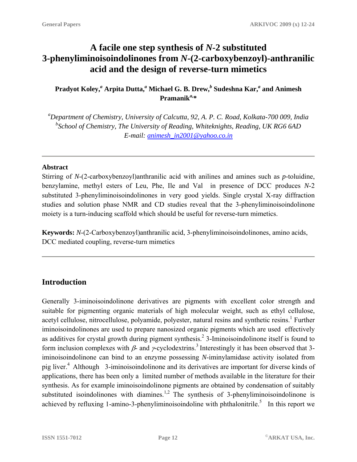# **A facile one step synthesis of** *N***-2 substituted 3-phenyliminoisoindolinones from** *N***-(2-carboxybenzoyl)-anthranilic acid and the design of reverse-turn mimetics**

# **Pradyot Koley,***<sup>a</sup>*  **Arpita Dutta,***<sup>a</sup>*  **Michael G. B. Drew,** *b*  **Sudeshna Kar,***<sup>a</sup>*  **and Animesh Pramanik***a,***\***

*a Department of Chemistry, University of Calcutta, 92, A. P. C. Road, Kolkata-700 009, India b School of Chemistry, The University of Reading, Whiteknights, Reading, UK RG6 6AD E-mail: [animesh\\_in2001@yahoo.co.in](mailto:animesh_in2001@yahoo.co.in)* 

#### **Abstract**

Stirring of *N*-(2-carboxybenzoyl)anthranilic acid with anilines and amines such as *p-*toluidine, benzylamine, methyl esters of Leu, Phe, Ile and Val in presence of DCC produces *N*-2 substituted 3-phenyliminoisoindolinones in very good yields. Single crystal X-ray diffraction studies and solution phase NMR and CD studies reveal that the 3-phenyliminoisoindolinone moiety is a turn-inducing scaffold which should be useful for reverse-turn mimetics.

**Keywords:** *N*-(2-Carboxybenzoyl)anthranilic acid, 3-phenyliminoisoindolinones, amino acids, DCC mediated coupling, reverse-turn mimetics

# **Introduction**

Generally 3-iminoisoindolinone derivatives are pigments with excellent color strength and suitable for pigmenting organic materials of high molecular weight, such as ethyl cellulose, acetyl cellulose, nitrocellulose, polyamide, polyester, natural resins and synthetic resins.<sup>1</sup> Further iminoisoindolinones are used to prepare nanosized organic pigments which are used effectively as additives for crystal growth during pigment synthesis.<sup>2</sup> 3-Iminoisoindolinone itself is found to form inclusion complexes with  $\beta$ - and  $\gamma$ -cyclodextrins.<sup>3</sup> Interestingly it has been observed that 3iminoisoindolinone can bind to an enzyme possessing *N*-iminylamidase activity isolated from pig liver.4 Although 3-iminoisoindolinone and its derivatives are important for diverse kinds of applications, there has been only a limited number of methods available in the literature for their synthesis. As for example iminoisoindolinone pigments are obtained by condensation of suitably substituted isoindolinones with diamines.<sup>1,2</sup> The synthesis of 3-phenyliminoisoindolinone is achieved by refluxing 1-amino-3-phenyliminoisoindoline with phthalonitrile.<sup>5</sup> In this report we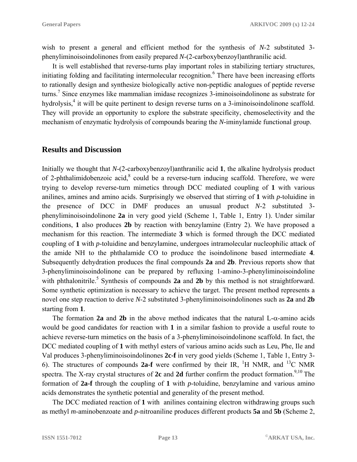wish to present a general and efficient method for the synthesis of *N*-2 substituted 3 phenyliminoisoindolinones from easily prepared *N*-(2-carboxybenzoyl)anthranilic acid.

It is well established that reverse-turns play important roles in stabilizing tertiary structures, initiating folding and facilitating intermolecular recognition.<sup>6</sup> There have been increasing efforts to rationally design and synthesize biologically active non-peptidic analogues of peptide reverse turns.<sup>7</sup> Since enzymes like mammalian imidase recognizes 3-iminoisoindolinone as substrate for hydrolysis,<sup>4</sup> it will be quite pertinent to design reverse turns on a 3-iminoisoindolinone scaffold. They will provide an opportunity to explore the substrate specificity, chemoselectivity and the mechanism of enzymatic hydrolysis of compounds bearing the *N*-iminylamide functional group.

#### **Results and Discussion**

Initially we thought that *N*-(2-carboxybenzoyl)anthranilic acid **1**, the alkaline hydrolysis product of 2-phthalimidobenzoic acid, $^8$  could be a reverse-turn inducing scaffold. Therefore, we were trying to develop reverse-turn mimetics through DCC mediated coupling of **1** with various anilines, amines and amino acids. Surprisingly we observed that stirring of **1** with *p*-toluidine in the presence of DCC in DMF produces an unusual product *N*-2 substituted 3 phenyliminoisoindolinone **2a** in very good yield (Scheme 1, Table 1, Entry 1). Under similar conditions, **1** also produces **2b** by reaction with benzylamine (Entry 2). We have proposed a mechanism for this reaction. The intermediate **3** which is formed through the DCC mediated coupling of **1** with *p*-toluidine and benzylamine, undergoes intramolecular nucleophilic attack of the amide NH to the phthalamide CO to produce the isoindolinone based intermediate **4**. Subsequently dehydration produces the final compounds **2a** and **2b**. Previous reports show that 3-phenyliminoisoindolinone can be prepared by refluxing 1-amino-3-phenyliminoisoindoline with phthalonitrile.<sup>5</sup> Synthesis of compounds 2a and 2b by this method is not straightforward. Some synthetic optimization is necessary to achieve the target. The present method represents a novel one step reaction to derive *N*-2 substituted 3-phenyliminoisoindolinones such as **2a** and **2b** starting from **1**.

The formation **2a** and **2b** in the above method indicates that the natural L- $\alpha$ -amino acids would be good candidates for reaction with **1** in a similar fashion to provide a useful route to achieve reverse-turn mimetics on the basis of a 3-phenyliminoisoindolinone scaffold. In fact, the DCC mediated coupling of **1** with methyl esters of various amino acids such as Leu, Phe, Ile and Val produces 3-phenyliminoisoindolinones **2c-f** in very good yields (Scheme 1, Table 1, Entry 3- 6). The structures of compounds  $2a-f$  were confirmed by their IR, <sup>1</sup>H NMR, and <sup>13</sup>C NMR spectra. The X-ray crystal structures of 2c and 2d further confirm the product formation.<sup>9,10</sup> The formation of **2a-f** through the coupling of **1** with *p*-toluidine, benzylamine and various amino acids demonstrates the synthetic potential and generality of the present method.

The DCC mediated reaction of **1** with anilines containing electron withdrawing groups such as methyl *m*-aminobenzoate and *p*-nitroaniline produces different products **5a** and **5b** (Scheme 2,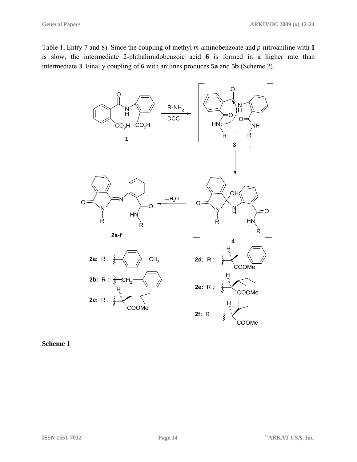Table 1, Entry 7 and 8). Since the coupling of methyl *m*-aminobenzoate and *p*-nitroaniline with **1** is slow, the intermediate 2-phthalimidobenzoic acid **6** is formed in a higher rate than intermediate **3**. Finally coupling of **6** with anilines produces **5a** and **5b** (Scheme 2).



**Scheme 1**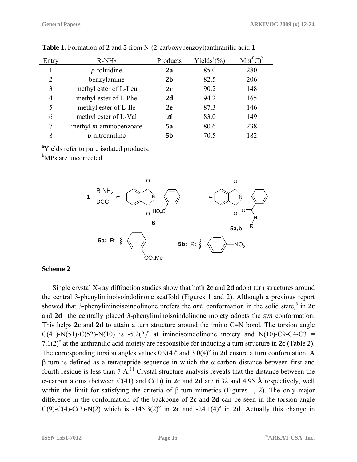| Entry | $R-NH2$                        | Products       | Yields <sup>a</sup> $(\% )$ |     |
|-------|--------------------------------|----------------|-----------------------------|-----|
|       | $p$ -toluidine                 | 2a             | 85.0                        | 280 |
| 2     | benzylamine                    | 2 <sub>b</sub> | 82.5                        | 206 |
| 3     | methyl ester of L-Leu          | 2c             | 90.2                        | 148 |
| 4     | methyl ester of L-Phe          | 2d             | 94.2                        | 165 |
| 5     | methyl ester of L-Ile          | 2e             | 87.3                        | 146 |
| 6     | methyl ester of L-Val          | 2f             | 83.0                        | 149 |
|       | methyl <i>m</i> -aminobenzoate | 5a             | 80.6                        | 238 |
| 8     | <i>p</i> -nitroaniline         | <b>5b</b>      | 70.5                        | 182 |

**Table 1.** Formation of **2** and **5** from N-(2-carboxybenzoyl)anthranilic acid **1**

<sup>a</sup>Yields refer to pure isolated products.

<sup>b</sup>MPs are uncorrected.



#### **Scheme 2**

Single crystal X-ray diffraction studies show that both **2c** and **2d** adopt turn structures around the central 3-phenyliminoisoindolinone scaffold (Figures 1 and 2). Although a previous report showed that 3-phenyliminoisoindolinone prefers the *anti* conformation in the solid state,<sup>5</sup> in  $2c$ and **2d** the centrally placed 3-phenyliminoisoindolinone moiety adopts the *syn* conformation. This helps 2c and 2d to attain a turn structure around the imino C=N bond. The torsion angle  $C(41)$ -N(51)-C(52)-N(10) is -5.2(2)<sup>o</sup> at iminoisoindolinone moiety and N(10)-C9-C4-C3 = 7.1(2)<sup>o</sup> at the anthranilic acid moiety are responsible for inducing a turn structure in  $2c$  (Table 2). The corresponding torsion angles values  $0.9(4)^\circ$  and  $3.0(4)^\circ$  in **2d** ensure a turn conformation. A β-turn is defined as a tetrapeptide sequence in which the α-carbon distance between first and fourth residue is less than  $7 \text{ Å}^{11}$  Crystal structure analysis reveals that the distance between the α-carbon atoms (between C(41) and C(1)) in **2c** and **2d** are 6.32 and 4.95 Å respectively, well within the limit for satisfying the criteria of β-turn mimetics (Figures 1, 2). The only major difference in the conformation of the backbone of **2c** and **2d** can be seen in the torsion angle  $C(9) - C(4) - C(3) - N(2)$  which is  $-145.3(2)$ <sup>o</sup> in **2c** and  $-24.1(4)$ <sup>o</sup> in **2d**. Actually this change in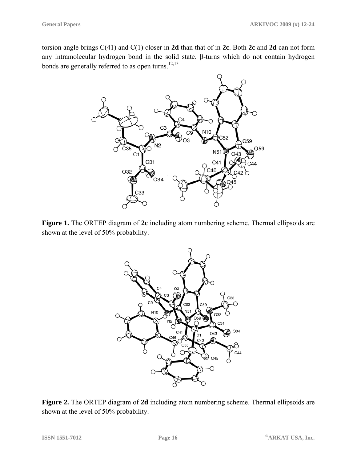torsion angle brings C(41) and C(1) closer in **2d** than that of in **2c**. Both **2c** and **2d** can not form any intramolecular hydrogen bond in the solid state. β-turns which do not contain hydrogen bonds are generally referred to as open turns.<sup>12,13</sup>



**Figure 1.** The ORTEP diagram of **2c** including atom numbering scheme. Thermal ellipsoids are shown at the level of 50% probability.



**Figure 2.** The ORTEP diagram of **2d** including atom numbering scheme. Thermal ellipsoids are shown at the level of 50% probability.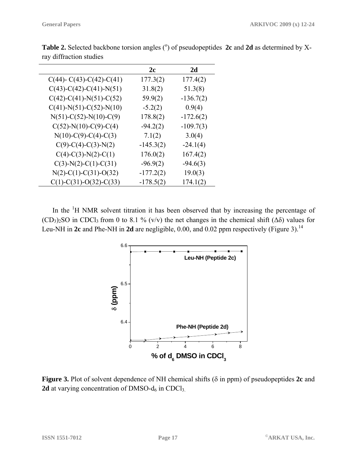|                                       | 2c          | 2d          |  |
|---------------------------------------|-------------|-------------|--|
| $C(44)$ - $C(43)$ - $C(42)$ - $C(41)$ | 177.3(2)    | 177.4(2)    |  |
| $C(43)-C(42)-C(41)-N(51)$             | 31.8(2)     | 51.3(8)     |  |
| $C(42)$ -C(41)-N(51)-C(52)            | 59.9(2)     | $-136.7(2)$ |  |
| $C(41)$ -N(51)-C(52)-N(10)            | $-5.2(2)$   | 0.9(4)      |  |
| $N(51)-C(52)-N(10)-C(9)$              | 178.8(2)    | $-172.6(2)$ |  |
| $C(52)-N(10)-C(9)-C(4)$               | $-94.2(2)$  | $-109.7(3)$ |  |
| $N(10)-C(9)-C(4)-C(3)$                | 7.1(2)      | 3.0(4)      |  |
| $C(9)-C(4)-C(3)-N(2)$                 | $-145.3(2)$ | $-24.1(4)$  |  |
| $C(4)-C(3)-N(2)-C(1)$                 | 176.0(2)    | 167.4(2)    |  |
| $C(3)-N(2)-C(1)-C(31)$                | $-96.9(2)$  | $-94.6(3)$  |  |
| $N(2)$ -C(1)-C(31)-O(32)              | $-177.2(2)$ | 19.0(3)     |  |
| $C(1)$ -C(31)-O(32)-C(33)             | $-178.5(2)$ | 174.1(2)    |  |

Table 2. Selected backbone torsion angles (<sup>o</sup>) of pseudopeptides 2c and 2d as determined by Xray diffraction studies

In the  $\mathrm{^{1}H}$  NMR solvent titration it has been observed that by increasing the percentage of  $(CD_3)_2$ SO in CDCl<sub>3</sub> from 0 to 8.1 % (v/v) the net changes in the chemical shift ( $\Delta \delta$ ) values for Leu-NH in 2c and Phe-NH in 2d are negligible, 0.00, and 0.02 ppm respectively (Figure 3).<sup>14</sup>



**Figure 3.** Plot of solvent dependence of NH chemical shifts (δ in ppm) of pseudopeptides **2c** and **2d** at varying concentration of DMSO- $d_6$  in CDCl<sub>3</sub>.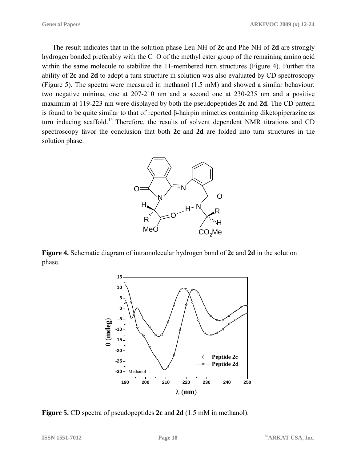The result indicates that in the solution phase Leu-NH of **2c** and Phe-NH of **2d** are strongly hydrogen bonded preferably with the C=O of the methyl ester group of the remaining amino acid within the same molecule to stabilize the 11-membered turn structures (Figure 4). Further the ability of **2c** and **2d** to adopt a turn structure in solution was also evaluated by CD spectroscopy (Figure 5). The spectra were measured in methanol (1.5 mM) and showed a similar behaviour: two negative minima, one at 207-210 nm and a second one at 230-235 nm and a positive maximum at 119-223 nm were displayed by both the pseudopeptides **2c** and **2d**. The CD pattern is found to be quite similar to that of reported β-hairpin mimetics containing diketopiperazine as turn inducing scaffold.<sup>15</sup> Therefore, the results of solvent dependent NMR titrations and CD spectroscopy favor the conclusion that both **2c** and **2d** are folded into turn structures in the solution phase.



**Figure 4.** Schematic diagram of intramolecular hydrogen bond of **2c** and **2d** in the solution phase.



**Figure 5.** CD spectra of pseudopeptides **2c** and **2d** (1.5 mM in methanol).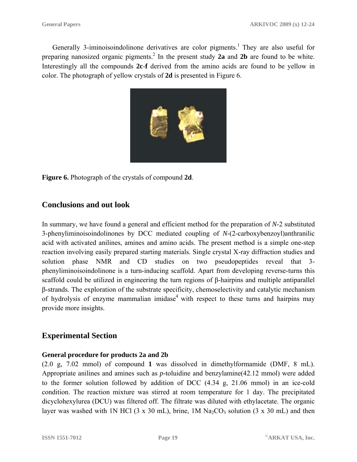Generally 3-iminoisoindolinone derivatives are color pigments.<sup>1</sup> They are also useful for preparing nanosized organic pigments.<sup>2</sup> In the present study 2a and 2b are found to be white. Interestingly all the compounds **2c**-**f** derived from the amino acids are found to be yellow in color. The photograph of yellow crystals of **2d** is presented in Figure 6.



**Figure 6.** Photograph of the crystals of compound **2d**.

# **Conclusions and out look**

In summary, we have found a general and efficient method for the preparation of *N*-2 substituted 3-phenyliminoisoindolinones by DCC mediated coupling of *N*-(2-carboxybenzoyl)anthranilic acid with activated anilines, amines and amino acids. The present method is a simple one-step reaction involving easily prepared starting materials. Single crystal X-ray diffraction studies and solution phase NMR and CD studies on two pseudopeptides reveal that 3 phenyliminoisoindolinone is a turn-inducing scaffold. Apart from developing reverse-turns this scaffold could be utilized in engineering the turn regions of β-hairpins and multiple antiparallel β-strands. The exploration of the substrate specificity, chemoselectivity and catalytic mechanism of hydrolysis of enzyme mammalian imidase<sup>4</sup> with respect to these turns and hairpins may provide more insights.

## **Experimental Section**

#### **General procedure for products 2a and 2b**

(2.0 g, 7.02 mmol) of compound **1** was dissolved in dimethylformamide (DMF, 8 mL). Appropriate anilines and amines such as *p*-toluidine and benzylamine(42.12 mmol) were added to the former solution followed by addition of DCC (4.34 g, 21.06 mmol) in an ice-cold condition. The reaction mixture was stirred at room temperature for 1 day. The precipitated dicyclohexylurea (DCU) was filtered off. The filtrate was diluted with ethylacetate. The organic layer was washed with 1N HCl (3 x 30 mL), brine, 1M Na<sub>2</sub>CO<sub>3</sub> solution (3 x 30 mL) and then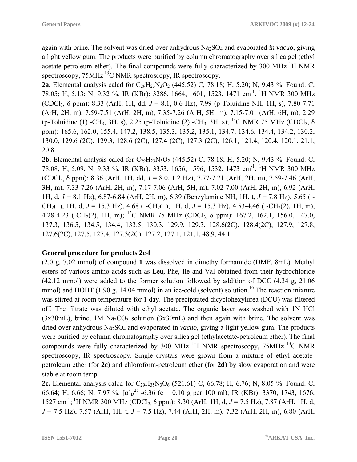again with brine. The solvent was dried over anhydrous Na2SO4 and evaporated *in vacuo*, giving a light yellow gum. The products were purified by column chromatography over silica gel (ethyl acetate-petroleum ether). The final compounds were fully characterized by 300 MHz  $^{1}$ H NMR spectroscopy, 75MHz <sup>13</sup>C NMR spectroscopy, IR spectroscopy.

**2a.** Elemental analysis calcd for  $C_{29}H_{23}N_3O_2$  (445.52) C, 78.18; H, 5.20; N, 9.43 %. Found: C, 78.05; H, 5.13; N, 9.32 %. IR (KBr): 3286, 1664, 1601, 1523, 1471 cm<sup>-1</sup>. <sup>1</sup>H NMR 300 MHz (CDCl3, δ ppm): 8.33 (ArH, 1H, dd, *J* = 8.1, 0.6 Hz), 7.99 (p-Toluidine NH, 1H, s), 7.80-7.71 (ArH, 2H, m), 7.59-7.51 (ArH, 2H, m), 7.35-7.26 (ArH, 5H, m), 7.15-7.01 (ArH, 6H, m), 2.29 (p-Toluidine (1) -CH<sub>3</sub>, 3H, s), 2.25 (p-Toluidine (2) -CH<sub>3</sub>, 3H, s); <sup>13</sup>C NMR 75 MHz (CDCl<sub>3</sub>,  $\delta$ ppm): 165.6, 162.0, 155.4, 147.2, 138.5, 135.3, 135.2, 135.1, 134.7, 134.6, 134.4, 134.2, 130.2, 130.0, 129.6 (2C), 129.3, 128.6 (2C), 127.4 (2C), 127.3 (2C), 126.1, 121.4, 120.4, 120.1, 21.1, 20.8.

**2b.** Elemental analysis calcd for  $C_{29}H_{23}N_3O_2$  (445.52) C, 78.18; H, 5.20; N, 9.43 %. Found: C, 78.08; H, 5.09; N, 9.33 %. IR (KBr): 3353, 1656, 1596, 1532, 1473 cm<sup>-1</sup>. <sup>1</sup>H NMR 300 MHz (CDCl3, δ ppm): 8.36 (ArH, 1H, dd, *J* = 8.0, 1.2 Hz), 7.77-7.71 (ArH, 2H, m), 7.59-7.46 (ArH, 3H, m), 7.33-7.26 (ArH, 2H, m), 7.17-7.06 (ArH, 5H, m), 7.02-7.00 (ArH, 2H, m), 6.92 (ArH, 1H, d, *J* = 8.1 Hz), 6.87-6.84 (ArH, 2H, m), 6.39 (Benzylamine NH, 1H, t, *J* = 7.8 Hz), 5.65 ( - CH<sub>2</sub>(1), 1H, d,  $J = 15.3$  Hz), 4.68 ( $-CH_2(1)$ , 1H, d,  $J = 15.3$  Hz), 4.53-4.46 ( $-CH_2(2)$ , 1H, m), 4.28-4.23 (-CH<sub>2</sub>(2), 1H, m); <sup>13</sup>C NMR 75 MHz (CDCl<sub>3,</sub>  $\delta$  ppm): 167.2, 162.1, 156.0, 147.0, 137.3, 136.5, 134.5, 134.4, 133.5, 130.3, 129.9, 129.3, 128.6(2C), 128.4(2C), 127.9, 127.8, 127.6(2C), 127.5, 127.4, 127.3(2C), 127.2, 127.1, 121.1, 48.9, 44.1.

## **General procedure for products 2c-f**

(2.0 g, 7.02 mmol) of compound **1** was dissolved in dimethylformamide (DMF, 8mL). Methyl esters of various amino acids such as Leu, Phe, Ile and Val obtained from their hydrochloride (42.12 mmol) were added to the former solution followed by addition of DCC (4.34 g, 21.06 mmol) and HOBT (1.90 g, 14.04 mmol) in an ice-cold (solvent) solution.<sup>16</sup> The reaction mixture was stirred at room temperature for 1 day. The precipitated dicyclohexylurea (DCU) was filtered off. The filtrate was diluted with ethyl acetate. The organic layer was washed with 1N HCl  $(3x30mL)$ , brine, 1M Na<sub>2</sub>CO<sub>3</sub> solution  $(3x30mL)$  and then again with brine. The solvent was dried over anhydrous Na2SO4 and evaporated in *vacuo*, giving a light yellow gum. The products were purified by column chromatography over silica gel (ethylacetate-petroleum ether). The final compounds were fully characterized by 300 MHz  $^1$ H NMR spectroscopy, 75MHz  $^{13}$ C NMR spectroscopy, IR spectroscopy. Single crystals were grown from a mixture of ethyl acetatepetroleum ether (for **2c**) and chloroform-petroleum ether (for **2d**) by slow evaporation and were stable at room temp.

**2c.** Elemental analysis calcd for  $C_{29}H_{35}N_3O_6$  (521.61) C, 66.78; H, 6.76; N, 8.05 %. Found: C, 66.64; H, 6.66; N, 7.97 %.  $\left[\alpha\right]_{D}^{25}$  -6.36 (c = 0.10 g per 100 ml); IR (KBr): 3370, 1743, 1676, 1527 cm<sup>-1</sup>; <sup>1</sup>H NMR 300 MHz (CDCl<sub>3</sub>, δ ppm): 8.30 (ArH, 1H, d, *J* = 7.5 Hz), 7.87 (ArH, 1H, d, *J* = 7.5 Hz), 7.57 (ArH, 1H, t, *J* = 7.5 Hz), 7.44 (ArH, 2H, m), 7.32 (ArH, 2H, m), 6.80 (ArH,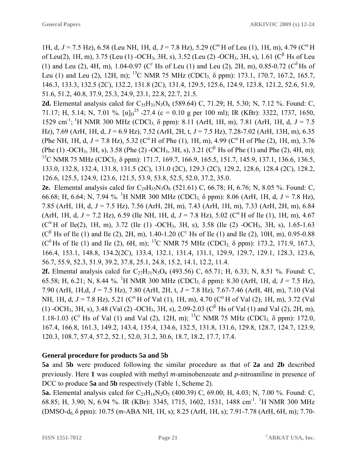1H, d,  $J = 7.5$  Hz), 6.58 (Leu NH, 1H, d,  $J = 7.8$  Hz), 5.29 (C<sup> $\alpha$ </sup> H of Leu (1), 1H, m), 4.79 (C<sup> $\alpha$ </sup> H of Leu(2), 1H, m), 3.75 (Leu (1) -OCH<sub>3</sub>, 3H, s), 3.52 (Leu (2) -OCH<sub>3</sub>, 3H, s), 1.61 (C<sup>β</sup> Hs of Leu (1) and Leu (2), 4H, m), 1.04-0.97 (C<sup> $\gamma$ </sup> Hs of Leu (1) and Leu (2), 2H, m), 0.85-0.72 (C<sup> $\delta$ </sup> Hs of Leu (1) and Leu (2), 12H, m); <sup>13</sup>C NMR 75 MHz (CDCl<sub>3,</sub>  $\delta$  ppm): 173.1, 170.7, 167.2, 165.7, 146.3, 133.3, 132.5 (2C), 132.2, 131.8 (2C), 131.4, 129.5, 125.6, 124.9, 123.8, 121.2, 52.6, 51.9, 51.6, 51.2, 40.8, 37.9, 25.3, 24.9, 23.1, 22.8, 22.7, 21.5.

**2d.** Elemental analysis calcd for  $C_{35}H_{31}N_3O_6$  (589.64) C, 71.29; H, 5.30; N, 7.12 %. Found: C, 71.17; H, 5.14; N, 7.01 %.  $[\alpha]_D^{25}$  -27.4 (c = 0.10 g per 100 ml); IR (KBr): 3322, 1737, 1650, 1529 cm<sup>-1</sup>; <sup>1</sup>H NMR 300 MHz (CDCl<sub>3,</sub> δ ppm): 8.11 (ArH, 1H, m), 7.81 (ArH, 1H, d, *J* = 7.5 Hz), 7.69 (ArH, 1H, d, *J* = 6.9 Hz), 7.52 (ArH, 2H, t, *J* = 7.5 Hz), 7.28-7.02 (ArH, 13H, m), 6.35 (Phe NH, 1H, d,  $J = 7.8$  Hz), 5.32 (C<sup> $\alpha$ </sup> H of Phe (1), 1H, m), 4.99 (C<sup> $\alpha$ </sup> H of Phe (2), 1H, m), 3.76 (Phe (1) -OCH<sub>3</sub>, 3H, s), 3.58 (Phe (2) -OCH<sub>3</sub>, 3H, s), 3.21 (C<sup>β</sup> Hs of Phe (1) and Phe (2), 4H, m); <sup>13</sup>C NMR 75 MHz (CDCl<sub>3</sub>, δ ppm): 171.7, 169.7, 166.9, 165.5, 151.7, 145.9, 137.1, 136.6, 136.5, 133.0, 132.8, 132.4, 131.8, 131.5 (2C), 131.0 (2C), 129.3 (2C), 129.2, 128.6, 128.4 (2C), 128.2, 126.6, 125.5, 124.9, 123.6, 121.5, 53.9, 53.8, 52.5, 52.0, 37.2, 35.0.

**2e.** Elemental analysis calcd for  $C_{29}H_{35}N_3O_6$  (521.61) C, 66.78; H, 6.76; N, 8.05 %. Found: C, 66.68; H, 6.64; N, 7.94 %. <sup>1</sup>H NMR 300 MHz (CDCl<sub>3,</sub> δ ppm): 8.06 (ArH, 1H, d, *J* = 7.8 Hz), 7.85 (ArH, 1H, d, *J* = 7.5 Hz), 7.56 (ArH, 2H, m), 7.43 (ArH, 1H, m), 7.33 (ArH, 2H, m), 6.84 (ArH, 1H, d,  $J = 7.2$  Hz), 6.59 (Ile NH, 1H, d,  $J = 7.8$  Hz), 5.02 ( $C^{\alpha}$  H of Ile (1), 1H, m), 4.67  $(C^{\alpha}H \text{ of } \text{Ile}(2), 1H, m)$ , 3.72 (Ile (1) -OCH<sub>3</sub>, 3H, s), 3.58 (Ile (2) -OCH<sub>3</sub>, 3H, s), 1.65-1.63  $(C^{\beta}$  Hs of Ile (1) and Ile (2), 2H, m), 1.40-1.20 (C<sup> $\gamma$ </sup> Hs of Ile (1) and Ile (2), 10H, m), 0.95-0.88 ( $C^{\delta}$  Hs of Ile (1) and Ile (2), 6H, m); <sup>13</sup>C NMR 75 MHz (CDCl<sub>3,</sub>  $\delta$  ppm): 173.2, 171.9, 167.3, 166.4, 153.1, 148.8, 134.2(2C), 133.4, 132.1, 131.4, 131.1, 129.9, 129.7, 129.1, 128.3, 123.6, 56.7, 55.9, 52.3, 51.9, 39.2, 37.8, 25.1, 24.8, 15.2, 14.1, 12.2, 11.4.

**2f.** Elmental analysis calcd for  $C_{27}H_{31}N_3O_6$  (493.56) C, 65.71; H, 6.33; N, 8.51 %. Found: C, 65.58; H, 6.21; N, 8.44 %. <sup>1</sup>H NMR 300 MHz (CDCl<sub>3,</sub> δ ppm): 8.30 (ArH, 1H, d, *J* = 7.5 Hz), 7.90 (ArH, 1H,d, *J* = 7.5 Hz), 7.80 (ArH, 2H, t, *J* = 7.8 Hz), 7.67-7.46 (ArH, 4H, m), 7.10 (Val NH, 1H, d,  $J = 7.8$  Hz), 5.21 (C<sup> $\alpha$ </sup> H of Val (1), 1H, m), 4.70 (C<sup> $\alpha$ </sup> H of Val (2), 1H, m), 3.72 (Val (1) -OCH<sub>3</sub>, 3H, s), 3.48 (Val (2) -OCH<sub>3</sub>, 3H, s), 2.09-2.03 (C<sup>β</sup> Hs of Val (1) and Val (2), 2H, m), 1.18-1.03 (C<sup> $\gamma$ </sup> Hs of Val (1) and Val (2), 12H, m); <sup>13</sup>C NMR 75 MHz (CDCl<sub>3</sub>  $\delta$  ppm): 172.0, 167.4, 166.8, 161.3, 149.2, 143.4, 135.4, 134.6, 132.5, 131.8, 131.6, 129.8, 128.7, 124.7, 123.9, 120.3, 108.7, 57.4, 57.2, 52.1, 52.0, 31.2, 30.6, 18.7, 18.2, 17.7, 17.4.

#### **General procedure for products 5a and 5b**

**5a** and **5b** were produced following the similar procedure as that of **2a** and **2b** described previously. Here **1** was coupled with methyl *m*-aminobenzoate and *p*-nitroaniline in presence of DCC to produce **5a** and **5b** respectively (Table 1, Scheme 2).

**5a.** Elemental analysis calcd for  $C_{23}H_{16}N_2O_5$  (400.39) C, 69.00; H, 4.03; N, 7.00 %. Found: C, 68.85; H, 3.90; N, 6.94 %. IR (KBr): 3345, 1715, 1602, 1531, 1488 cm<sup>-1</sup>. <sup>1</sup>H NMR 300 MHz (DMSO-d6, δ ppm): 10.75 (*m*-ABA NH, 1H, s); 8.25 (ArH, 1H, s); 7.91-7.78 (ArH, 6H, m); 7.70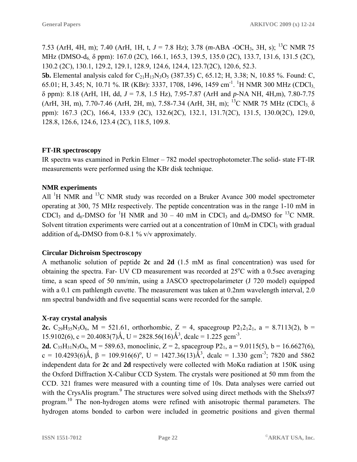7.53 (ArH, 4H, m); 7.40 (ArH, 1H, t, *J* = 7.8 Hz); 3.78 (*m*-ABA -OCH3, 3H, s); 13C NMR 75 MHz (DMSO-d<sub>6</sub>, δ ppm): 167.0 (2C), 166.1, 165.3, 139.5, 135.0 (2C), 133.7, 131.6, 131.5 (2C), 130.2 (2C), 130.1, 129.2, 129.1, 128.9, 124.6, 124.4, 123.7(2C), 120.6, 52.3.

**5b.** Elemental analysis calcd for  $C_{21}H_{13}N_3O_5$  (387.35) C, 65.12; H, 3.38; N, 10.85 %. Found: C, 65.01; H, 3.45; N, 10.71 %. IR (KBr): 3337, 1708, 1496, 1459 cm<sup>-1</sup>. <sup>1</sup>H NMR 300 MHz (CDCl<sub>3,</sub> δ ppm): 8.18 (ArH, 1H, dd, *J* = 7.8, 1.5 Hz), 7.95-7.87 (ArH and *p*-NA NH, 4H,m), 7.80-7.75 (ArH, 3H, m), 7.70-7.46 (ArH, 2H, m), 7.58-7.34 (ArH, 3H, m); <sup>13</sup>C NMR 75 MHz (CDCl<sub>3,</sub>  $\delta$ ppm): 167.3 (2C), 166.4, 133.9 (2C), 132.6(2C), 132.1, 131.7(2C), 131.5, 130.0(2C), 129.0, 128.8, 126.6, 124.6, 123.4 (2C), 118.5, 109.8.

#### **FT-IR spectroscopy**

IR spectra was examined in Perkin Elmer – 782 model spectrophotometer.The solid- state FT-IR measurements were performed using the KBr disk technique.

#### **NMR experiments**

All  ${}^{1}$ H NMR and  ${}^{13}$ C NMR study was recorded on a Bruker Avance 300 model spectrometer operating at 300, 75 MHz respectively. The peptide concentration was in the range 1-10 mM in CDCl<sub>3</sub> and  $d_6$ -DMSO for <sup>1</sup>H NMR and 30 – 40 mM in CDCl<sub>3</sub> and  $d_6$ -DMSO for <sup>13</sup>C NMR. Solvent titration experiments were carried out at a concentration of 10mM in CDCl<sub>3</sub> with gradual addition of  $d_6$ -DMSO from 0-8.1 % v/v approximately.

#### **Circular Dichroism Spectroscopy**

A methanolic solution of peptide **2c** and **2d** (1.5 mM as final concentration) was used for obtaining the spectra. Far- UV CD measurement was recorded at 25°C with a 0.5sec averaging time, a scan speed of 50 nm/min, using a JASCO spectropolarimeter (J 720 model) equipped with a 0.1 cm pathlength cuvette. The measurement was taken at 0.2nm wavelength interval, 2.0 nm spectral bandwidth and five sequential scans were recorded for the sample.

## **X-ray crystal analysis**

**2c.**  $C_{29}H_{35}N_3O_6$ ,  $M = 521.61$ , orthorhombic,  $Z = 4$ , spacegroup  $P_{21}2_{1}2_{1}$ ,  $a = 8.7113(2)$ ,  $b =$ 15.9102(6), c = 20.4083(7)Å, U = 2828.56(16)Å<sup>3</sup>, dcalc = 1.225 gcm<sup>-3</sup>.

**2d.**  $C_{35}H_{31}N_3O_6$ , M = 589.63, monoclinic, Z = 2, spacegroup P2<sub>1</sub>, a = 9.0115(5), b = 16.6627(6), c = 10.4293(6)Å,  $\beta$  = 109.916(6)<sup>o</sup>, U = 1427.36(13)Å<sup>3</sup>, dcalc = 1.330 gcm<sup>-3</sup>; 7820 and 5862 independent data for **2c** and **2d** respectively were collected with MoKα radiation at 150K using the Oxford Diffraction X-Calibur CCD System. The crystals were positioned at 50 mm from the CCD. 321 frames were measured with a counting time of 10s. Data analyses were carried out with the CrysAlis program.<sup>9</sup> The structures were solved using direct methods with the Shelxs97 program.<sup>10</sup> The non-hydrogen atoms were refined with anisotropic thermal parameters. The hydrogen atoms bonded to carbon were included in geometric positions and given thermal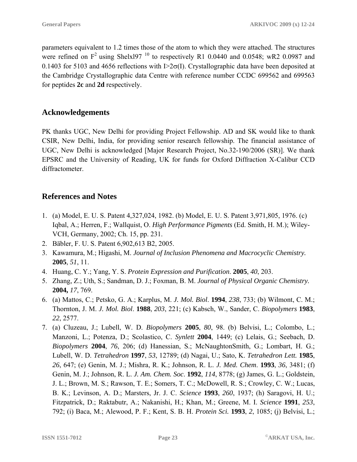parameters equivalent to 1.2 times those of the atom to which they were attached. The structures were refined on  $F^2$  using Shelxl97<sup>10</sup> to respectively R1 0.0440 and 0.0548; wR2 0.0987 and 0.1403 for 5103 and 4656 reflections with I $\geq 2\sigma(I)$ . Crystallographic data have been deposited at the Cambridge Crystallographic data Centre with reference number CCDC 699562 and 699563 for peptides **2c** and **2d** respectively.

# **Acknowledgements**

PK thanks UGC, New Delhi for providing Project Fellowship. AD and SK would like to thank CSIR, New Delhi, India, for providing senior research fellowship. The financial assistance of UGC, New Delhi is acknowledged [Major Research Project, No.32-190/2006 (SR)]. We thank EPSRC and the University of Reading, UK for funds for Oxford Diffraction X-Calibur CCD diffractometer.

# **References and Notes**

- 1. (a) Model, E. U. S. Patent 4,327,024, 1982. (b) Model, E. U. S. Patent 3,971,805, 1976. (c) Iqbal, A.; Herren, F.; Wallquist, O. *High Performance Pigments* (Ed. Smith, H. M.); Wiley-VCH, Germany, 2002; Ch. 15, pp. 231.
- 2. Bäbler, F. U. S. Patent 6,902,613 B2, 2005.
- 3. Kawamura, M.; Higashi, M. *Journal of Inclusion Phenomena and Macrocyclic Chemistry.* **2005**, *51*, 11.
- 4. Huang, C. Y.; Yang, Y. S. *Protein Expression and Purification*. **2005**, *40*, 203.
- 5. Zhang, Z.; Uth, S.; Sandman, D. J.; Foxman, B. M. *Journal of Physical Organic Chemistry.* **2004,** *17*, 769.
- 6. (a) Mattos, C.; Petsko, G. A.; Karplus, M. *J. Mol. Biol*. **1994**, *238*, 733; (b) Wilmont, C. M.; Thornton, J. M. *J. Mol. Biol*. **1988**, *203*, 221; (c) Kabsch, W., Sander, C. *Biopolymers* **1983**, *22*, 2577.
- 7. (a) Cluzeau, J.; Lubell, W. D. *Biopolymers* **2005**, *80*, 98. (b) Belvisi, L.; Colombo, L.; Manzoni, L.; Potenza, D.; Scolastico, C. *Synlett* **2004**, 1449; (c) Lelais, G.; Seebach, D. *Biopolymers* **2004**, *76*, 206; (d) Hanessian, S.; McNaughtonSmith, G.; Lombart, H. G.; Lubell, W. D. *Tetrahedron* **1997**, *53*, 12789; (d) Nagai, U.; Sato, K. *Tetrahedron Lett.* **1985**, *26*, 647; (e) Genin, M. J.; Mishra, R. K.; Johnson, R. L. *J. Med. Chem*. **1993**, *36*, 3481; (f) Genin, M. J.; Johnson, R. L. *J. Am. Chem. Soc*. **1992**, *114*, 8778; (g) James, G. L.; Goldstein, J. L.; Brown, M. S.; Rawson, T. E.; Somers, T. C.; McDowell, R. S.; Crowley, C. W.; Lucas, B. K.; Levinson, A. D.; Marsters, Jr. J. C. *Science* **1993**, *260*, 1937; (h) Saragovi, H. U.; Fitzpatrick, D.; Raktabutr, A.; Nakanishi, H.; Khan, M.; Greene, M. I. *Science* **1991**, *253*, 792; (i) Baca, M.; Alewood, P. F.; Kent, S. B. H. *Protein Sci.* **1993**, *2*, 1085; (j) Belvisi, L.;